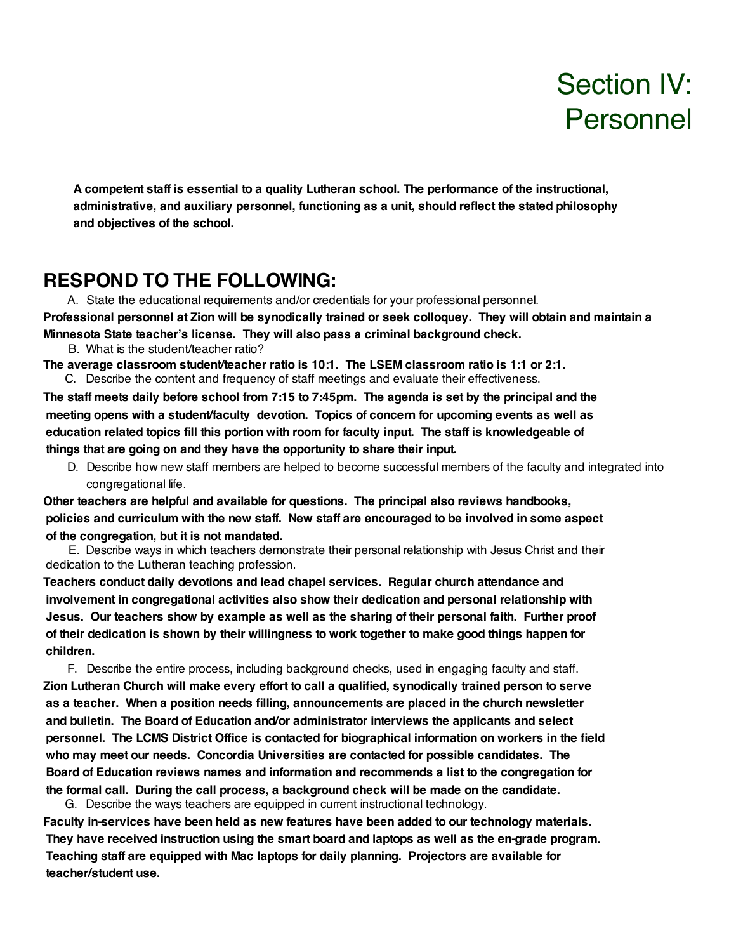# Section IV: Personnel

**A competent staff is essential to a quality Lutheran school. The performance of the instructional, administrative, and auxiliary personnel, functioning as a unit, should reflect the stated philosophy and objectives of the school.**

#### **RESPOND TO THE FOLLOWING:**

A. State the educational requirements and/or credentials for your professional personnel. Professional personnel at Zion will be synodically trained or seek colloquey. They will obtain and maintain a

**Minnesota State teacher's license. They will also pass a criminal background check.** B. What is the student/teacher ratio?

**The average classroom student/teacher ratio is 10:1. The LSEM classroom ratio is 1:1 or 2:1.** C. Describe the content and frequency of staff meetings and evaluate their effectiveness.

The staff meets daily before school from 7:15 to 7:45pm. The agenda is set by the principal and the **meeting opens with a student/faculty devotion. Topics of concern for upcoming events as well as education related topics fill this portion with room for faculty input. The staff is knowledgeable of things that are going on and they have the opportunity to share their input.**

D. Describe how new staff members are helped to become successful members of the faculty and integrated into congregational life.

**Other teachers are helpful and available for questions. The principal also reviews handbooks, policies and curriculum with the new staff. New staff are encouraged to be involved in some aspect of the congregation, but it is not mandated.**

E. Describe ways in which teachers demonstrate their personal relationship with Jesus Christ and their dedication to the Lutheran teaching profession.

**Teachers conduct daily devotions and lead chapel services. Regular church attendance and involvement in congregational activities also show their dedication and personal relationship with Jesus. Our teachers show by example as well as the sharing of their personal faith. Further proof of their dedication is shown by their willingness to work together to make good things happen for children.**

F. Describe the entire process, including background checks, used in engaging faculty and staff. **Zion Lutheran Church will make every effort to call a qualified, synodically trained person to serve as a teacher. When a position needs filling, announcements are placed in the church newsletter and bulletin. The Board of Education and/or administrator interviews the applicants and select personnel. The LCMS District Office is contacted for biographical information on workers in the field who may meet our needs. Concordia Universities are contacted for possible candidates. The Board of Education reviews names and information and recommends a list to the congregation for the formal call. During the call process, a background check will be made on the candidate.**

 G. Describe the ways teachers are equipped in current instructional technology. **Faculty in-services have been held as new features have been added to our technology materials. They have received instruction using the smart board and laptops as well as the en-grade program. Teaching staff are equipped with Mac laptops for daily planning. Projectors are available for teacher/student use.**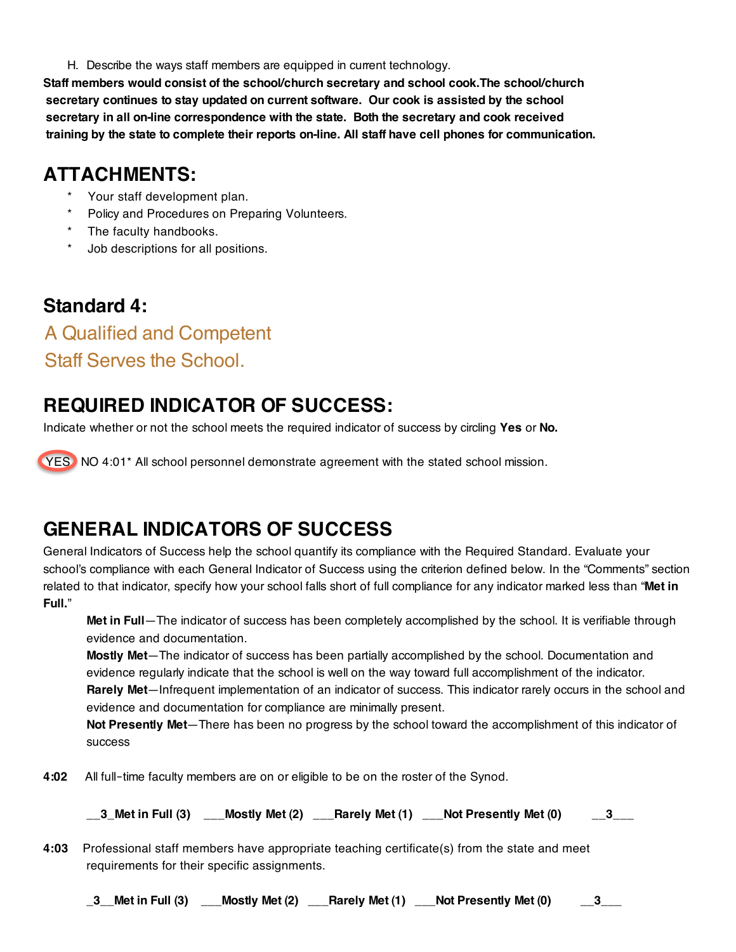H. Describe the ways staff members are equipped in current technology.

**Staff members would consist of the school/church secretary and school cook.The school/church secretary continues to stay updated on current software. Our cook is assisted by the school secretary in all on-line correspondence with the state. Both the secretary and cook received training by the state to complete their reports on-line. All staff have cell phones for communication.**

## **ATTACHMENTS:**

- Your staff development plan.
- Policy and Procedures on Preparing Volunteers.
- The faculty handbooks.
- Job descriptions for all positions.

### **Standard 4:**

### A Qualified and Competent Staff Serves the School.

# **REQUIRED INDICATOR OF SUCCESS:**

Indicate whether or not the school meets the required indicator of success by circling **Yes** or **No.**

YES<sup>N</sup> NO 4:01<sup>\*</sup> All school personnel demonstrate agreement with the stated school mission.

# **GENERAL INDICATORS OF SUCCESS**

General Indicators of Success help the school quantify its compliance with the Required Standard. Evaluate your school's compliance with each General Indicator of Success using the criterion defined below. In the "Comments" section related to that indicator, specify how your school falls short of full compliance for any indicator marked less than "**Met in Full.**"

**Met in Full**—The indicator of success has been completely accomplished by the school. It is verifiable through evidence and documentation.

**Mostly Met**—The indicator of success has been partially accomplished by the school. Documentation and evidence regularly indicate that the school is well on the way toward full accomplishment of the indicator. **Rarely Met**—Infrequent implementation of an indicator of success. This indicator rarely occurs in the school and evidence and documentation for compliance are minimally present.

**Not Presently Met**—There has been no progress by the school toward the accomplishment of this indicator of success

**4:02** All full-time faculty members are on or eligible to be on the roster of the Synod.

**\_\_3\_Met in Full (3) \_\_\_Mostly Met (2) \_\_\_Rarely Met (1) \_\_\_Not Presently Met (0) \_\_3\_\_\_**

**4:03** Professional staff members have appropriate teaching certificate(s) from the state and meet requirements for their specific assignments.

**\_3\_\_Met in Full (3) \_\_\_Mostly Met (2) \_\_\_Rarely Met (1) \_\_\_Not Presently Met (0) \_\_3\_\_\_**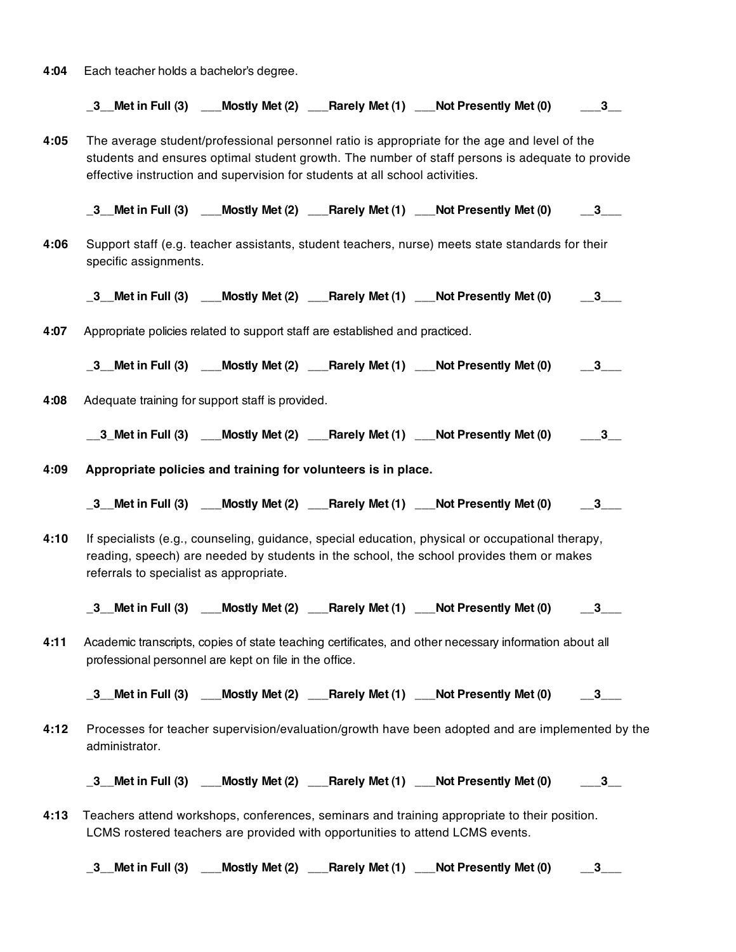**4:04** Each teacher holds a bachelor's degree.

**\_3\_\_Met in Full (3) \_\_\_Mostly Met (2) \_\_\_Rarely Met (1) \_\_\_Not Presently Met (0) \_\_\_3\_\_**

**4:05** The average student/professional personnel ratio is appropriate for the age and level of the students and ensures optimal student growth. The number of staff persons is adequate to provide effective instruction and supervision for students at all school activities.

**\_3\_\_Met in Full (3) \_\_\_Mostly Met (2) \_\_\_Rarely Met (1) \_\_\_Not Presently Met (0) \_\_3\_\_\_**

**4:06** Support staff (e.g. teacher assistants, student teachers, nurse) meets state standards for their specific assignments.

**\_3\_\_Met in Full (3) \_\_\_Mostly Met (2) \_\_\_Rarely Met (1) \_\_\_Not Presently Met (0) \_\_3\_\_\_**

**4:07** Appropriate policies related to support staff are established and practiced.

**\_3\_\_Met in Full (3) \_\_\_Mostly Met (2) \_\_\_Rarely Met (1) \_\_\_Not Presently Met (0) \_\_3\_\_\_**

**4:08** Adequate training for support staff is provided.

**\_\_3\_Met in Full (3) \_\_\_Mostly Met (2) \_\_\_Rarely Met (1) \_\_\_Not Presently Met (0) \_\_\_3\_\_**

- **4:09 Appropriate policies and training for volunteers is in place.**
	- **\_3\_\_Met in Full (3) \_\_\_Mostly Met (2) \_\_\_Rarely Met (1) \_\_\_Not Presently Met (0) \_\_3\_\_\_**
- **4:10** If specialists (e.g., counseling, guidance, special education, physical or occupational therapy, reading, speech) are needed by students in the school, the school provides them or makes referrals to specialist as appropriate.

**\_3\_\_Met in Full (3) \_\_\_Mostly Met (2) \_\_\_Rarely Met (1) \_\_\_Not Presently Met (0) \_\_3\_\_\_**

**4:11** Academic transcripts, copies of state teaching certificates, and other necessary information about all professional personnel are kept on file in the office.

**\_3\_\_Met in Full (3) \_\_\_Mostly Met (2) \_\_\_Rarely Met (1) \_\_\_Not Presently Met (0) \_\_3\_\_\_**

**4:12** Processes for teacher supervision/evaluation/growth have been adopted and are implemented by the administrator.

**\_3\_\_Met in Full (3) \_\_\_Mostly Met (2) \_\_\_Rarely Met (1) \_\_\_Not Presently Met (0) \_\_\_3\_\_**

**4:13** Teachers attend workshops, conferences, seminars and training appropriate to their position. LCMS rostered teachers are provided with opportunities to attend LCMS events.

**\_3\_\_Met in Full (3) \_\_\_Mostly Met (2) \_\_\_Rarely Met (1) \_\_\_Not Presently Met (0) \_\_3\_\_\_**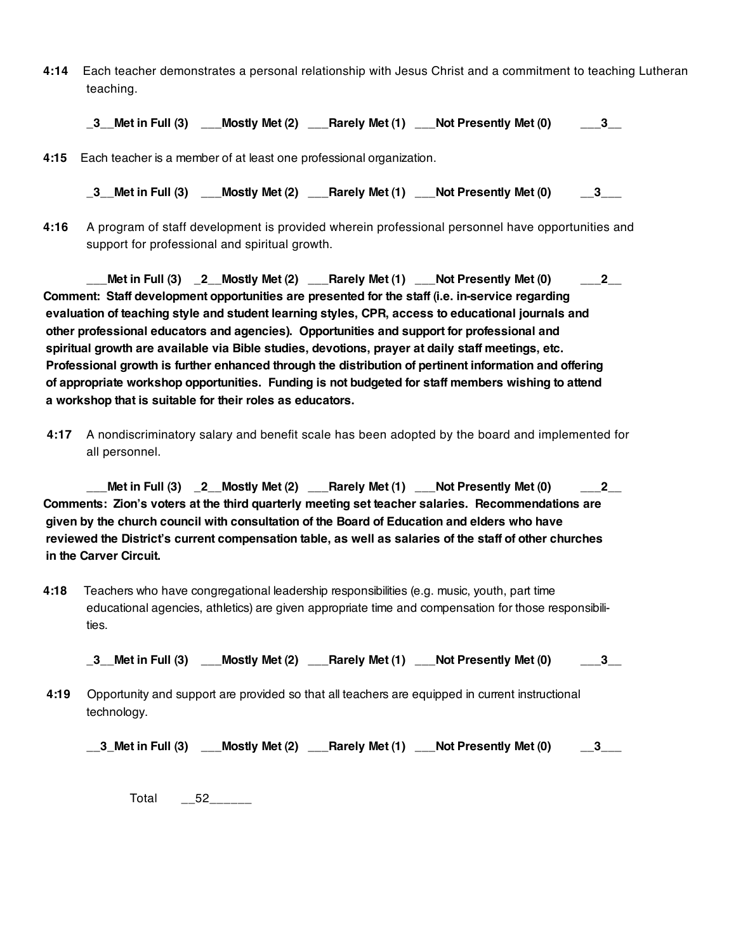**4:14** Each teacher demonstrates a personal relationship with Jesus Christ and a commitment to teaching Lutheran teaching.

**\_3\_\_Met in Full (3) \_\_\_Mostly Met (2) \_\_\_Rarely Met (1) \_\_\_Not Presently Met (0) \_\_\_3\_\_**

**4:15** Each teacher is a member of at least one professional organization.

**\_3\_\_Met in Full (3) \_\_\_Mostly Met (2) \_\_\_Rarely Met (1) \_\_\_Not Presently Met (0) \_\_3\_\_\_**

**4:16** A program of staff development is provided wherein professional personnel have opportunities and support for professional and spiritual growth.

**\_\_\_Met in Full (3) \_2\_\_Mostly Met (2) \_\_\_Rarely Met (1) \_\_\_Not Presently Met (0) \_\_\_2\_\_ Comment: Staff development opportunities are presented for the staff (i.e. in-service regarding evaluation of teaching style and student learning styles, CPR, access to educational journals and other professional educators and agencies). Opportunities and support for professional and spiritual growth are available via Bible studies, devotions, prayer at daily staff meetings, etc. Professional growth is further enhanced through the distribution of pertinent information and offering of appropriate workshop opportunities. Funding is not budgeted for staff members wishing to attend a workshop that is suitable for their roles as educators.**

**4:17** A nondiscriminatory salary and benefit scale has been adopted by the board and implemented for all personnel.

**\_\_\_Met in Full (3) \_2\_\_Mostly Met (2) \_\_\_Rarely Met (1) \_\_\_Not Presently Met (0) \_\_\_2\_\_ Comments: Zion's voters at the third quarterly meeting set teacher salaries. Recommendations are given by the church council with consultation of the Board of Education and elders who have** reviewed the District's current compensation table, as well as salaries of the staff of other churches **in the Carver Circuit.**

**4:18** Teachers who have congregational leadership responsibilities (e.g. music, youth, part time educational agencies, athletics) are given appropriate time and compensation for those responsibili‐ ties.

**\_3\_\_Met in Full (3) \_\_\_Mostly Met (2) \_\_\_Rarely Met (1) \_\_\_Not Presently Met (0) \_\_\_3\_\_**

**4:19** Opportunity and support are provided so that all teachers are equipped in current instructional technology.

**\_\_3\_Met in Full (3) \_\_\_Mostly Met (2) \_\_\_Rarely Met (1) \_\_\_Not Presently Met (0) \_\_3\_\_\_**

Total \_\_52\_\_\_\_\_\_